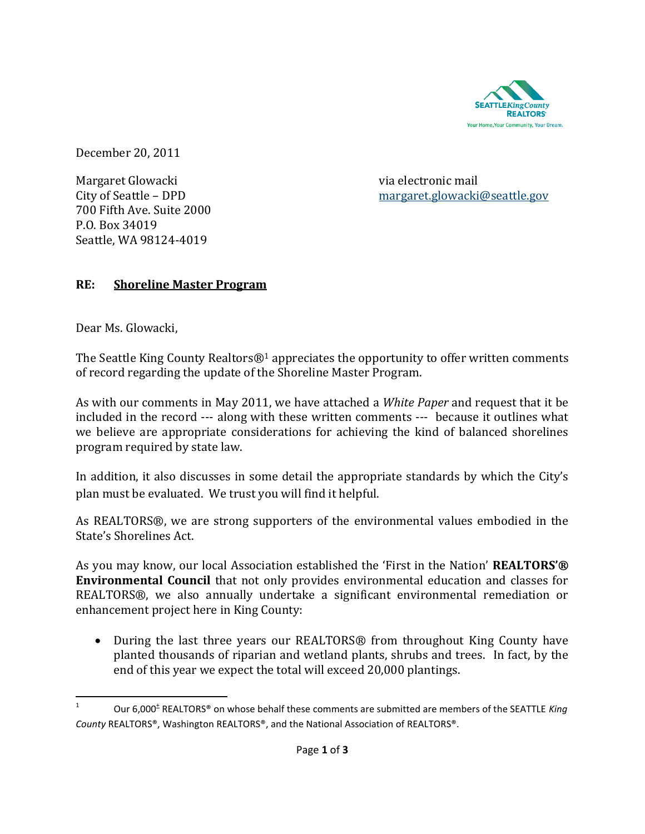

December 20, 2011

Margaret Glowacki via electronic mail 700 Fifth Ave. Suite 2000 P.O. Box 34019 Seattle, WA 98124-4019

City of Seattle – DPD [margaret.glowacki@seattle.gov](mailto:margaret.glowacki@seattle.gov)

# **RE: Shoreline Master Program**

Dear Ms. Glowacki,

The Seattle King County Realtors $\mathbb{Q}^1$  appreciates the opportunity to offer written comments of record regarding the update of the Shoreline Master Program.

As with our comments in May 2011, we have attached a *White Paper* and request that it be included in the record --- along with these written comments --- because it outlines what we believe are appropriate considerations for achieving the kind of balanced shorelines program required by state law.

In addition, it also discusses in some detail the appropriate standards by which the City's plan must be evaluated. We trust you will find it helpful.

As REALTORS®, we are strong supporters of the environmental values embodied in the State's Shorelines Act.

As you may know, our local Association established the 'First in the Nation' **REALTORS'® Environmental Council** that not only provides environmental education and classes for REALTORS®, we also annually undertake a significant environmental remediation or enhancement project here in King County:

• During the last three years our REALTORS<sup>®</sup> from throughout King County have planted thousands of riparian and wetland plants, shrubs and trees. In fact, by the end of this year we expect the total will exceed 20,000 plantings.

 $\frac{1}{1}$ Our 6,000<sup>±</sup> REALTORS® on whose behalf these comments are submitted are members of the SEATTLE *King County* REALTORS®, Washington REALTORS®, and the National Association of REALTORS®.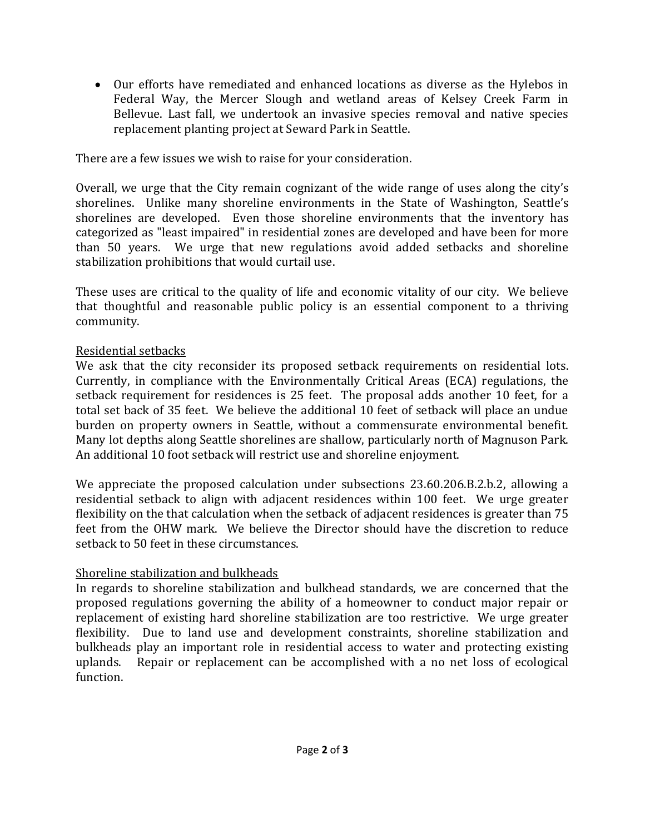Our efforts have remediated and enhanced locations as diverse as the Hylebos in Federal Way, the Mercer Slough and wetland areas of Kelsey Creek Farm in Bellevue. Last fall, we undertook an invasive species removal and native species replacement planting project at Seward Park in Seattle.

There are a few issues we wish to raise for your consideration.

Overall, we urge that the City remain cognizant of the wide range of uses along the city's shorelines. Unlike many shoreline environments in the State of Washington, Seattle's shorelines are developed. Even those shoreline environments that the inventory has categorized as "least impaired" in residential zones are developed and have been for more than 50 years. We urge that new regulations avoid added setbacks and shoreline stabilization prohibitions that would curtail use.

These uses are critical to the quality of life and economic vitality of our city. We believe that thoughtful and reasonable public policy is an essential component to a thriving community.

# Residential setbacks

We ask that the city reconsider its proposed setback requirements on residential lots. Currently, in compliance with the Environmentally Critical Areas (ECA) regulations, the setback requirement for residences is 25 feet. The proposal adds another 10 feet, for a total set back of 35 feet. We believe the additional 10 feet of setback will place an undue burden on property owners in Seattle, without a commensurate environmental benefit. Many lot depths along Seattle shorelines are shallow, particularly north of Magnuson Park. An additional 10 foot setback will restrict use and shoreline enjoyment.

We appreciate the proposed calculation under subsections 23.60.206.B.2.b.2, allowing a residential setback to align with adjacent residences within 100 feet. We urge greater flexibility on the that calculation when the setback of adjacent residences is greater than 75 feet from the OHW mark. We believe the Director should have the discretion to reduce setback to 50 feet in these circumstances.

# Shoreline stabilization and bulkheads

In regards to shoreline stabilization and bulkhead standards, we are concerned that the proposed regulations governing the ability of a homeowner to conduct major repair or replacement of existing hard shoreline stabilization are too restrictive. We urge greater flexibility. Due to land use and development constraints, shoreline stabilization and bulkheads play an important role in residential access to water and protecting existing uplands. Repair or replacement can be accomplished with a no net loss of ecological function.